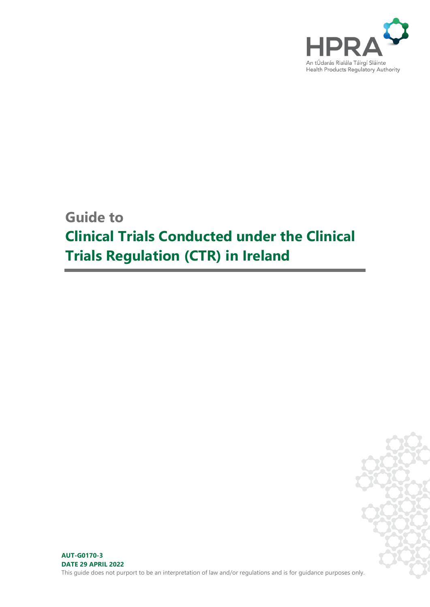

# **Guide to Clinical Trials Conducted under the Clinical Trials Regulation (CTR) in Ireland**

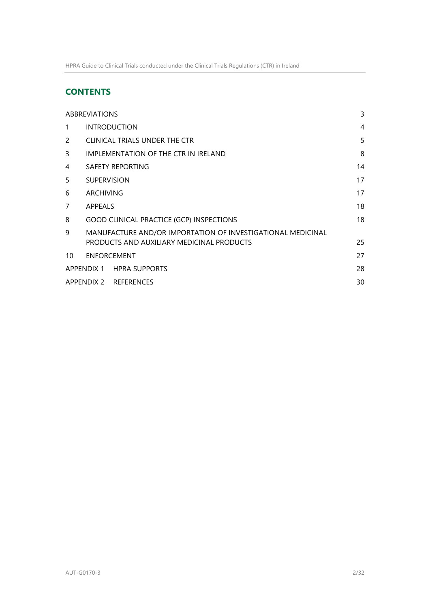# **CONTENTS**

| <b>ABBREVIATIONS</b>  |                                                             |                                           |    |
|-----------------------|-------------------------------------------------------------|-------------------------------------------|----|
| 1                     |                                                             | <b>INTRODUCTION</b>                       | 4  |
| 2                     |                                                             | CLINICAL TRIALS UNDER THE CTR             | 5  |
| 3                     |                                                             | IMPLEMENTATION OF THE CTR IN IRELAND      | 8  |
| 4                     |                                                             | SAFETY REPORTING                          | 14 |
| 5                     | <b>SUPERVISION</b>                                          |                                           | 17 |
| 6                     | ARCHIVING                                                   |                                           |    |
| 7                     | APPEALS                                                     |                                           | 18 |
| 8                     | 18<br><b>GOOD CLINICAL PRACTICE (GCP) INSPECTIONS</b>       |                                           |    |
| 9                     | MANUFACTURE AND/OR IMPORTATION OF INVESTIGATIONAL MEDICINAL |                                           |    |
|                       |                                                             | PRODUCTS AND AUXILIARY MEDICINAL PRODUCTS | 25 |
| 10                    | <b>ENFORCEMENT</b>                                          |                                           | 27 |
|                       |                                                             | APPENDIX 1 HPRA SUPPORTS                  | 28 |
| APPENDIX 2 REFERENCES |                                                             |                                           | 30 |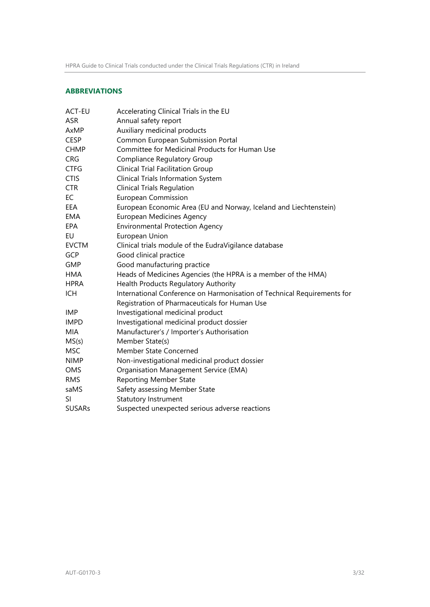# <span id="page-2-0"></span>**ABBREVIATIONS**

| <b>ACT-EU</b> | Accelerating Clinical Trials in the EU                                  |  |  |
|---------------|-------------------------------------------------------------------------|--|--|
| <b>ASR</b>    | Annual safety report                                                    |  |  |
| AxMP          | Auxiliary medicinal products                                            |  |  |
| <b>CESP</b>   | Common European Submission Portal                                       |  |  |
| <b>CHMP</b>   | Committee for Medicinal Products for Human Use                          |  |  |
| <b>CRG</b>    | <b>Compliance Regulatory Group</b>                                      |  |  |
| <b>CTFG</b>   | <b>Clinical Trial Facilitation Group</b>                                |  |  |
| <b>CTIS</b>   | <b>Clinical Trials Information System</b>                               |  |  |
| <b>CTR</b>    | <b>Clinical Trials Regulation</b>                                       |  |  |
| EC            | <b>European Commission</b>                                              |  |  |
| EEA           | European Economic Area (EU and Norway, Iceland and Liechtenstein)       |  |  |
| EMA           | <b>European Medicines Agency</b>                                        |  |  |
| EPA           | <b>Environmental Protection Agency</b>                                  |  |  |
| <b>EU</b>     | European Union                                                          |  |  |
| <b>EVCTM</b>  | Clinical trials module of the EudraVigilance database                   |  |  |
| GCP           | Good clinical practice                                                  |  |  |
| <b>GMP</b>    | Good manufacturing practice                                             |  |  |
| <b>HMA</b>    | Heads of Medicines Agencies (the HPRA is a member of the HMA)           |  |  |
| <b>HPRA</b>   | Health Products Regulatory Authority                                    |  |  |
| ICH           | International Conference on Harmonisation of Technical Requirements for |  |  |
|               | Registration of Pharmaceuticals for Human Use                           |  |  |
| <b>IMP</b>    | Investigational medicinal product                                       |  |  |
| <b>IMPD</b>   | Investigational medicinal product dossier                               |  |  |
| MIA           | Manufacturer's / Importer's Authorisation                               |  |  |
| MS(s)         | Member State(s)                                                         |  |  |
| <b>MSC</b>    | Member State Concerned                                                  |  |  |
| <b>NIMP</b>   | Non-investigational medicinal product dossier                           |  |  |
| OMS           | Organisation Management Service (EMA)                                   |  |  |
| <b>RMS</b>    | <b>Reporting Member State</b>                                           |  |  |
| saMS          | Safety assessing Member State                                           |  |  |
| SI            | <b>Statutory Instrument</b>                                             |  |  |
| <b>SUSARs</b> | Suspected unexpected serious adverse reactions                          |  |  |
|               |                                                                         |  |  |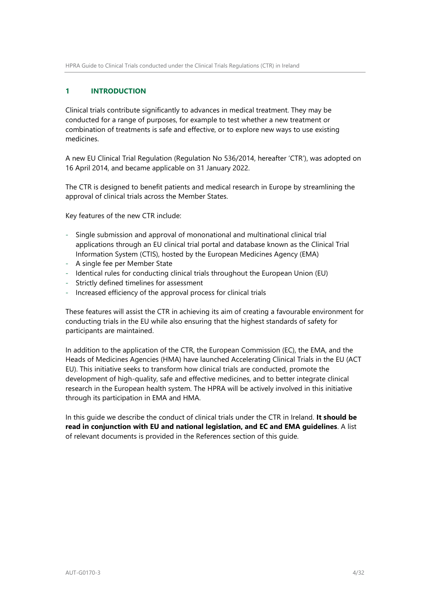# <span id="page-3-0"></span>**1 INTRODUCTION**

Clinical trials contribute significantly to advances in medical treatment. They may be conducted for a range of purposes, for example to test whether a new treatment or combination of treatments is safe and effective, or to explore new ways to use existing medicines.

A new EU Clinical Trial Regulation (Regulation No 536/2014, hereafter 'CTR'), was adopted on 16 April 2014, and became applicable on 31 January 2022.

The CTR is designed to benefit patients and medical research in Europe by streamlining the approval of clinical trials across the Member States.

Key features of the new CTR include:

- Single submission and approval of mononational and multinational clinical trial applications through an EU clinical trial portal and database known as the Clinical Trial Information System (CTIS), hosted by the European Medicines Agency (EMA)
- A single fee per Member State
- Identical rules for conducting clinical trials throughout the European Union (EU)
- Strictly defined timelines for assessment
- Increased efficiency of the approval process for clinical trials

These features will assist the CTR in achieving its aim of creating a favourable environment for conducting trials in the EU while also ensuring that the highest standards of safety for participants are maintained.

In addition to the application of the CTR, the European Commission (EC), the EMA, and the Heads of Medicines Agencies (HMA) have launched Accelerating Clinical Trials in the EU (ACT EU). This initiative seeks to transform how clinical trials are conducted, promote the development of high-quality, safe and effective medicines, and to better integrate clinical research in the European health system. The HPRA will be actively involved in this initiative through its participation in EMA and HMA.

In this guide we describe the conduct of clinical trials under the CTR in Ireland. **It should be read in conjunction with EU and national legislation, and EC and EMA guidelines**. A list of relevant documents is provided in the References section of this guide.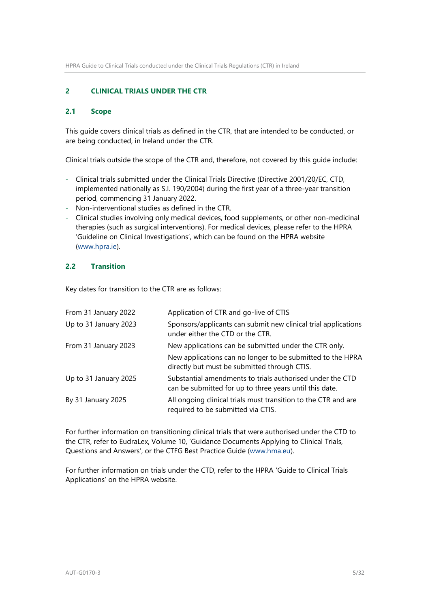### <span id="page-4-0"></span>**2 CLINICAL TRIALS UNDER THE CTR**

### **2.1 Scope**

This guide covers clinical trials as defined in the CTR, that are intended to be conducted, or are being conducted, in Ireland under the CTR.

Clinical trials outside the scope of the CTR and, therefore, not covered by this guide include:

- Clinical trials submitted under the Clinical Trials Directive (Directive 2001/20/EC, CTD, implemented nationally as S.I. 190/2004) during the first year of a three-year transition period, commencing 31 January 2022.
- Non-interventional studies as defined in the CTR.
- Clinical studies involving only medical devices, food supplements, or other non-medicinal therapies (such as surgical interventions). For medical devices, please refer to the HPRA 'Guideline on Clinical Investigations', which can be found on the HPRA website [\(www.hpra.ie\)](http://www.hpra.ie/).

# **2.2 Transition**

Key dates for transition to the CTR are as follows:

| From 31 January 2022  | Application of CTR and go-live of CTIS                                                                               |
|-----------------------|----------------------------------------------------------------------------------------------------------------------|
| Up to 31 January 2023 | Sponsors/applicants can submit new clinical trial applications<br>under either the CTD or the CTR.                   |
| From 31 January 2023  | New applications can be submitted under the CTR only.                                                                |
|                       | New applications can no longer to be submitted to the HPRA<br>directly but must be submitted through CTIS.           |
| Up to 31 January 2025 | Substantial amendments to trials authorised under the CTD<br>can be submitted for up to three years until this date. |
| By 31 January 2025    | All ongoing clinical trials must transition to the CTR and are<br>required to be submitted via CTIS.                 |

For further information on transitioning clinical trials that were authorised under the CTD to the CTR, refer to EudraLex, Volume 10, 'Guidance Documents Applying to Clinical Trials, Questions and Answers', or the CTFG Best Practice Guide [\(www.hma.eu\)](http://www.hma.eu/).

For further information on trials under the CTD, refer to the HPRA 'Guide to Clinical Trials Applications' on the HPRA website.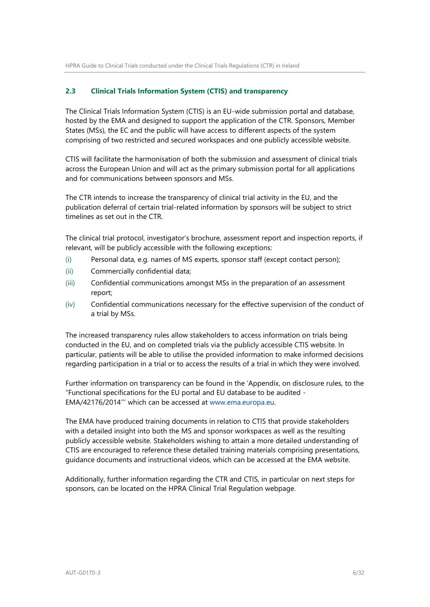### **2.3 Clinical Trials Information System (CTIS) and transparency**

The Clinical Trials Information System (CTIS) is an EU-wide submission portal and database, hosted by the EMA and designed to support the application of the CTR. Sponsors, Member States (MSs), the EC and the public will have access to different aspects of the system comprising of two restricted and secured workspaces and one publicly accessible website.

CTIS will facilitate the harmonisation of both the submission and assessment of clinical trials across the European Union and will act as the primary submission portal for all applications and for communications between sponsors and MSs.

The CTR intends to increase the transparency of clinical trial activity in the EU, and the publication deferral of certain trial-related information by sponsors will be subject to strict timelines as set out in the CTR.

The clinical trial protocol, investigator's brochure, assessment report and inspection reports, if relevant, will be publicly accessible with the following exceptions:

- (i) Personal data, e.g. names of MS experts, sponsor staff (except contact person);
- (ii) Commercially confidential data;
- (iii) Confidential communications amongst MSs in the preparation of an assessment report;
- (iv) Confidential communications necessary for the effective supervision of the conduct of a trial by MSs.

The increased transparency rules allow stakeholders to access information on trials being conducted in the EU, and on completed trials via the publicly accessible CTIS website. In particular, patients will be able to utilise the provided information to make informed decisions regarding participation in a trial or to access the results of a trial in which they were involved.

Further information on transparency can be found in the 'Appendix, on disclosure rules, to the "Functional specifications for the EU portal and EU database to be audited - EMA/42176/2014''' which can be accessed at [www.ema.europa.eu.](http://www.ema.europa.eu/)

The EMA have produced training documents in relation to CTIS that provide stakeholders with a detailed insight into both the MS and sponsor workspaces as well as the resulting publicly accessible website. Stakeholders wishing to attain a more detailed understanding of CTIS are encouraged to reference these detailed training materials comprising presentations, guidance documents and instructional videos, which can be accessed at the EMA website.

Additionally, further information regarding the CTR and CTIS, in particular on next steps for sponsors, can be located on the HPRA Clinical Trial Regulation webpage.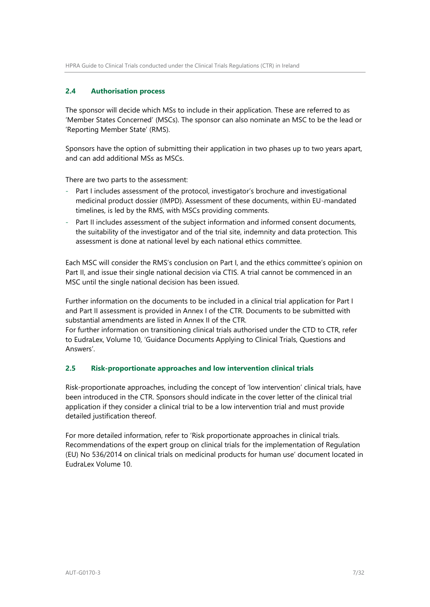# **2.4 Authorisation process**

The sponsor will decide which MSs to include in their application. These are referred to as 'Member States Concerned' (MSCs). The sponsor can also nominate an MSC to be the lead or 'Reporting Member State' (RMS).

Sponsors have the option of submitting their application in two phases up to two years apart, and can add additional MSs as MSCs.

There are two parts to the assessment:

- Part I includes assessment of the protocol, investigator's brochure and investigational medicinal product dossier (IMPD). Assessment of these documents, within EU-mandated timelines, is led by the RMS, with MSCs providing comments.
- Part II includes assessment of the subject information and informed consent documents, the suitability of the investigator and of the trial site, indemnity and data protection. This assessment is done at national level by each national ethics committee.

Each MSC will consider the RMS's conclusion on Part I, and the ethics committee's opinion on Part II, and issue their single national decision via CTIS. A trial cannot be commenced in an MSC until the single national decision has been issued.

Further information on the documents to be included in a clinical trial application for Part I and Part II assessment is provided in Annex I of the CTR. Documents to be submitted with substantial amendments are listed in Annex II of the CTR.

For further information on transitioning clinical trials authorised under the CTD to CTR, refer to EudraLex, Volume 10, 'Guidance Documents Applying to Clinical Trials, Questions and Answers'.

### **2.5 Risk-proportionate approaches and low intervention clinical trials**

Risk-proportionate approaches, including the concept of 'low intervention' clinical trials, have been introduced in the CTR. Sponsors should indicate in the cover letter of the clinical trial application if they consider a clinical trial to be a low intervention trial and must provide detailed justification thereof.

For more detailed information, refer to 'Risk proportionate approaches in clinical trials. Recommendations of the expert group on clinical trials for the implementation of Regulation (EU) No 536/2014 on clinical trials on medicinal products for human use' document located in EudraLex Volume 10.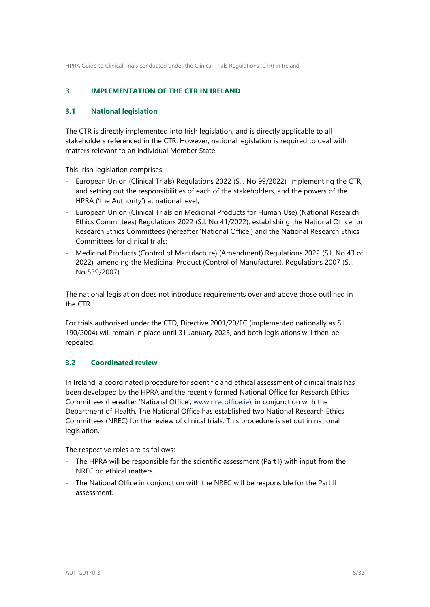# <span id="page-7-0"></span>**3 IMPLEMENTATION OF THE CTR IN IRELAND**

### **3.1 National legislation**

The CTR is directly implemented into Irish legislation, and is directly applicable to all stakeholders referenced in the CTR. However, national legislation is required to deal with matters relevant to an individual Member State.

This Irish legislation comprises:

- European Union (Clinical Trials) Regulations 2022 (S.I. No 99/2022), implementing the CTR, and setting out the responsibilities of each of the stakeholders, and the powers of the HPRA ('the Authority') at national level;
- European Union (Clinical Trials on Medicinal Products for Human Use) (National Research Ethics Committees) Regulations 2022 (S.I. No 41/2022), establishing the National Office for Research Ethics Committees (hereafter 'National Office') and the National Research Ethics Committees for clinical trials;
- Medicinal Products (Control of Manufacture) (Amendment) Regulations 2022 (S.I. No 43 of 2022), amending the Medicinal Product (Control of Manufacture), Regulations 2007 (S.I. No 539/2007).

The national legislation does not introduce requirements over and above those outlined in the CTR.

For trials authorised under the CTD, Directive 2001/20/EC (implemented nationally as S.I. 190/2004) will remain in place until 31 January 2025, and both legislations will then be repealed.

### **3.2 Coordinated review**

In Ireland, a coordinated procedure for scientific and ethical assessment of clinical trials has been developed by the HPRA and the recently formed National Office for Research Ethics Committees (hereafter 'National Office', [www.nrecoffice.ie\)](file://///srv-prd-file01/qsac/QMS/CONTROLLED%20DOCUMENTS/Authorisation/Clinical%20studies/Clinical%20trials%20(h)/2021%20NEW%20CT%20REGULATIONS%202022/www.nrecoffice.ie), in conjunction with the Department of Health. The National Office has established two National Research Ethics Committees (NREC) for the review of clinical trials. This procedure is set out in national legislation.

The respective roles are as follows:

- The HPRA will be responsible for the scientific assessment (Part I) with input from the NREC on ethical matters.
- The National Office in conjunction with the NREC will be responsible for the Part II assessment.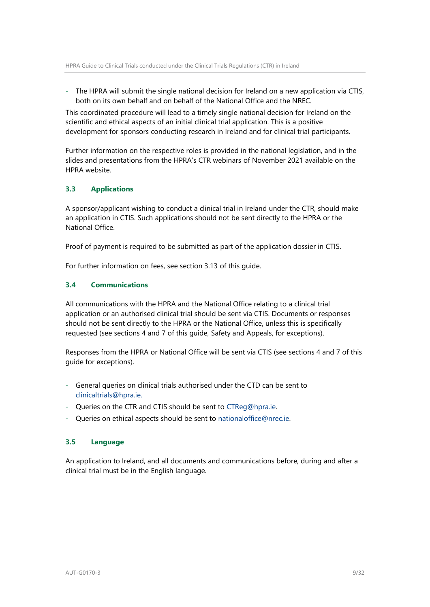- The HPRA will submit the single national decision for Ireland on a new application via CTIS, both on its own behalf and on behalf of the National Office and the NREC.

This coordinated procedure will lead to a timely single national decision for Ireland on the scientific and ethical aspects of an initial clinical trial application. This is a positive development for sponsors conducting research in Ireland and for clinical trial participants.

Further information on the respective roles is provided in the national legislation, and in the slides and presentations from the HPRA's CTR webinars of November 2021 available on the HPRA website.

# **3.3 Applications**

A sponsor/applicant wishing to conduct a clinical trial in Ireland under the CTR, should make an application in CTIS. Such applications should not be sent directly to the HPRA or the National Office.

Proof of payment is required to be submitted as part of the application dossier in CTIS.

For further information on fees, see section 3.13 of this guide.

### **3.4 Communications**

All communications with the HPRA and the National Office relating to a clinical trial application or an authorised clinical trial should be sent via CTIS. Documents or responses should not be sent directly to the HPRA or the National Office, unless this is specifically requested (see sections 4 and 7 of this guide, Safety and Appeals, for exceptions).

Responses from the HPRA or National Office will be sent via CTIS (see sections 4 and 7 of this guide for exceptions).

- General queries on clinical trials authorised under the CTD can be sent to clinicaltrials@hpra.ie.
- Queries on the CTR and CTIS should be sent to CTReg@hpra.ie.
- Queries on ethical aspects should be sent to nationaloffice@nrec.ie.

### **3.5 Language**

An application to Ireland, and all documents and communications before, during and after a clinical trial must be in the English language.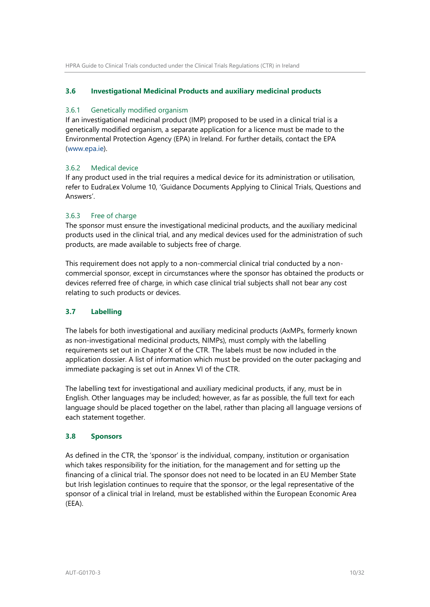### **3.6 Investigational Medicinal Products and auxiliary medicinal products**

### 3.6.1 Genetically modified organism

If an investigational medicinal product (IMP) proposed to be used in a clinical trial is a genetically modified organism, a separate application for a licence must be made to the Environmental Protection Agency (EPA) in Ireland. For further details, contact the EPA [\(www.epa.ie\)](http://www.epa.ie/).

# 3.6.2 Medical device

If any product used in the trial requires a medical device for its administration or utilisation, refer to EudraLex Volume 10, 'Guidance Documents Applying to Clinical Trials, Questions and Answers'.

# 3.6.3 Free of charge

The sponsor must ensure the investigational medicinal products, and the auxiliary medicinal products used in the clinical trial, and any medical devices used for the administration of such products, are made available to subjects free of charge.

This requirement does not apply to a non-commercial clinical trial conducted by a noncommercial sponsor, except in circumstances where the sponsor has obtained the products or devices referred free of charge, in which case clinical trial subjects shall not bear any cost relating to such products or devices.

# **3.7 Labelling**

The labels for both investigational and auxiliary medicinal products (AxMPs, formerly known as non-investigational medicinal products, NIMPs), must comply with the labelling requirements set out in Chapter X of the CTR. The labels must be now included in the application dossier. A list of information which must be provided on the outer packaging and immediate packaging is set out in Annex VI of the CTR.

The labelling text for investigational and auxiliary medicinal products, if any, must be in English. Other languages may be included; however, as far as possible, the full text for each language should be placed together on the label, rather than placing all language versions of each statement together.

### **3.8 Sponsors**

As defined in the CTR, the 'sponsor' is the individual, company, institution or organisation which takes responsibility for the initiation, for the management and for setting up the financing of a clinical trial. The sponsor does not need to be located in an EU Member State but Irish legislation continues to require that the sponsor, or the legal representative of the sponsor of a clinical trial in Ireland, must be established within the European Economic Area (EEA).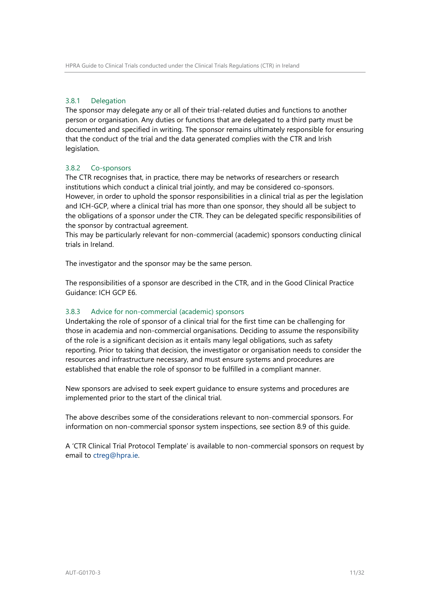### 3.8.1 Delegation

The sponsor may delegate any or all of their trial-related duties and functions to another person or organisation. Any duties or functions that are delegated to a third party must be documented and specified in writing. The sponsor remains ultimately responsible for ensuring that the conduct of the trial and the data generated complies with the CTR and Irish legislation.

# 3.8.2 Co-sponsors

The CTR recognises that, in practice, there may be networks of researchers or research institutions which conduct a clinical trial jointly, and may be considered co-sponsors. However, in order to uphold the sponsor responsibilities in a clinical trial as per the legislation and ICH-GCP, where a clinical trial has more than one sponsor, they should all be subject to the obligations of a sponsor under the CTR. They can be delegated specific responsibilities of the sponsor by contractual agreement.

This may be particularly relevant for non-commercial (academic) sponsors conducting clinical trials in Ireland.

The investigator and the sponsor may be the same person.

The responsibilities of a sponsor are described in the CTR, and in the Good Clinical Practice Guidance: ICH GCP E6.

### 3.8.3 Advice for non-commercial (academic) sponsors

Undertaking the role of sponsor of a clinical trial for the first time can be challenging for those in academia and non-commercial organisations. Deciding to assume the responsibility of the role is a significant decision as it entails many legal obligations, such as safety reporting. Prior to taking that decision, the investigator or organisation needs to consider the resources and infrastructure necessary, and must ensure systems and procedures are established that enable the role of sponsor to be fulfilled in a compliant manner.

New sponsors are advised to seek expert guidance to ensure systems and procedures are implemented prior to the start of the clinical trial.

The above describes some of the considerations relevant to non-commercial sponsors. For information on non-commercial sponsor system inspections, see section 8.9 of this guide.

A 'CTR Clinical Trial Protocol Template' is available to non-commercial sponsors on request by email to ctreg@hpra.ie.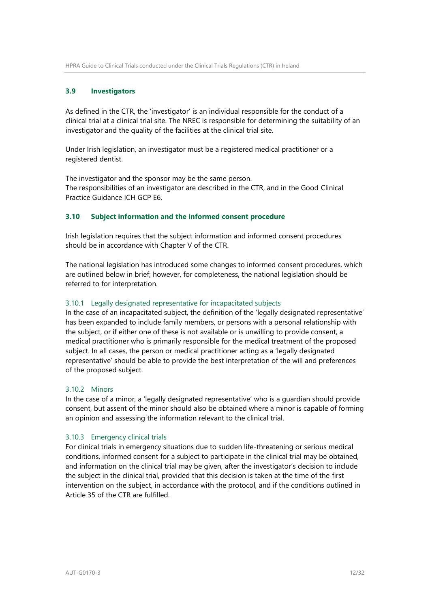### **3.9 Investigators**

As defined in the CTR, the 'investigator' is an individual responsible for the conduct of a clinical trial at a clinical trial site. The NREC is responsible for determining the suitability of an investigator and the quality of the facilities at the clinical trial site.

Under Irish legislation, an investigator must be a registered medical practitioner or a registered dentist.

The investigator and the sponsor may be the same person. The responsibilities of an investigator are described in the CTR, and in the Good Clinical Practice Guidance ICH GCP E6.

### **3.10 Subject information and the informed consent procedure**

Irish legislation requires that the subject information and informed consent procedures should be in accordance with Chapter V of the CTR.

The national legislation has introduced some changes to informed consent procedures, which are outlined below in brief; however, for completeness, the national legislation should be referred to for interpretation.

#### 3.10.1 Legally designated representative for incapacitated subjects

In the case of an incapacitated subject, the definition of the 'legally designated representative' has been expanded to include family members, or persons with a personal relationship with the subject, or if either one of these is not available or is unwilling to provide consent, a medical practitioner who is primarily responsible for the medical treatment of the proposed subject. In all cases, the person or medical practitioner acting as a 'legally designated representative' should be able to provide the best interpretation of the will and preferences of the proposed subject.

#### 3.10.2 Minors

In the case of a minor, a 'legally designated representative' who is a guardian should provide consent, but assent of the minor should also be obtained where a minor is capable of forming an opinion and assessing the information relevant to the clinical trial.

#### 3.10.3 Emergency clinical trials

For clinical trials in emergency situations due to sudden life-threatening or serious medical conditions, informed consent for a subject to participate in the clinical trial may be obtained, and information on the clinical trial may be given, after the investigator's decision to include the subject in the clinical trial, provided that this decision is taken at the time of the first intervention on the subject, in accordance with the protocol, and if the conditions outlined in Article 35 of the CTR are fulfilled.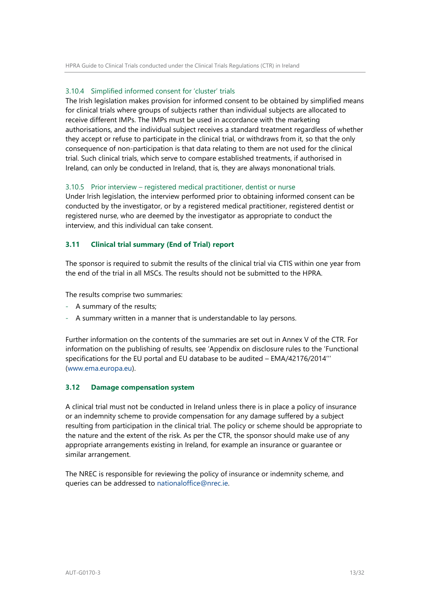### 3.10.4 Simplified informed consent for 'cluster' trials

The Irish legislation makes provision for informed consent to be obtained by simplified means for clinical trials where groups of subjects rather than individual subjects are allocated to receive different IMPs. The IMPs must be used in accordance with the marketing authorisations, and the individual subject receives a standard treatment regardless of whether they accept or refuse to participate in the clinical trial, or withdraws from it, so that the only consequence of non-participation is that data relating to them are not used for the clinical trial. Such clinical trials, which serve to compare established treatments, if authorised in Ireland, can only be conducted in Ireland, that is, they are always mononational trials.

#### 3.10.5 Prior interview – registered medical practitioner, dentist or nurse

Under Irish legislation, the interview performed prior to obtaining informed consent can be conducted by the investigator, or by a registered medical practitioner, registered dentist or registered nurse, who are deemed by the investigator as appropriate to conduct the interview, and this individual can take consent.

### **3.11 Clinical trial summary (End of Trial) report**

The sponsor is required to submit the results of the clinical trial via CTIS within one year from the end of the trial in all MSCs. The results should not be submitted to the HPRA.

The results comprise two summaries:

- A summary of the results;
- A summary written in a manner that is understandable to lay persons.

Further information on the contents of the summaries are set out in Annex V of the CTR. For information on the publishing of results, see 'Appendix on disclosure rules to the 'Functional specifications for the EU portal and EU database to be audited – EMA/42176/2014''' [\(www.ema.europa.eu\)](file://///srv-prd-file01/qsac/QMS/CONTROLLED%20DOCUMENTS/Authorisation/Clinical%20studies/Clinical%20trials%20(h)/2021%20NEW%20CT%20REGULATIONS%202022/www.ema.europa.eu).

#### **3.12 Damage compensation system**

A clinical trial must not be conducted in Ireland unless there is in place a policy of insurance or an indemnity scheme to provide compensation for any damage suffered by a subject resulting from participation in the clinical trial. The policy or scheme should be appropriate to the nature and the extent of the risk. As per the CTR, the sponsor should make use of any appropriate arrangements existing in Ireland, for example an insurance or guarantee or similar arrangement.

The NREC is responsible for reviewing the policy of insurance or indemnity scheme, and queries can be addressed to [nationaloffice@nrec.ie.](mailto:nationaloffice@nrec.ie)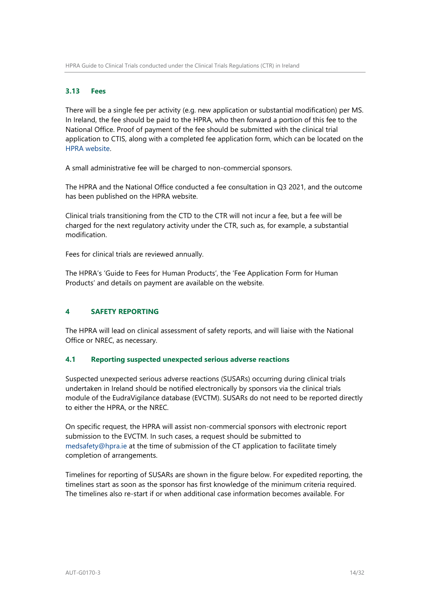### **3.13 Fees**

There will be a single fee per activity (e.g. new application or substantial modification) per MS. In Ireland, the fee should be paid to the HPRA, who then forward a portion of this fee to the National Office. Proof of payment of the fee should be submitted with the clinical trial application to CTIS, along with a completed fee application form, which can be located on the [HPRA website.](https://www.hpra.ie/homepage/about-us/publications-forms/forms-applications/item?id=b15bf925-9782-6eee-9b55-ff00008c97d0)

A small administrative fee will be charged to non-commercial sponsors.

The HPRA and the National Office conducted a fee consultation in Q3 2021, and the outcome has been published on the HPRA website.

Clinical trials transitioning from the CTD to the CTR will not incur a fee, but a fee will be charged for the next regulatory activity under the CTR, such as, for example, a substantial modification.

Fees for clinical trials are reviewed annually.

The HPRA's 'Guide to Fees for Human Products', the 'Fee Application Form for Human Products' and details on payment are available on the website.

### <span id="page-13-0"></span>**4 SAFETY REPORTING**

The HPRA will lead on clinical assessment of safety reports, and will liaise with the National Office or NREC, as necessary.

### **4.1 Reporting suspected unexpected serious adverse reactions**

Suspected unexpected serious adverse reactions (SUSARs) occurring during clinical trials undertaken in Ireland should be notified electronically by sponsors via the clinical trials module of the EudraVigilance database (EVCTM). SUSARs do not need to be reported directly to either the HPRA, or the NREC.

On specific request, the HPRA will assist non-commercial sponsors with electronic report submission to the EVCTM. In such cases, a request should be submitted to medsafety@hpra.ie at the time of submission of the CT application to facilitate timely completion of arrangements.

Timelines for reporting of SUSARs are shown in the figure below. For expedited reporting, the timelines start as soon as the sponsor has first knowledge of the minimum criteria required. The timelines also re-start if or when additional case information becomes available. For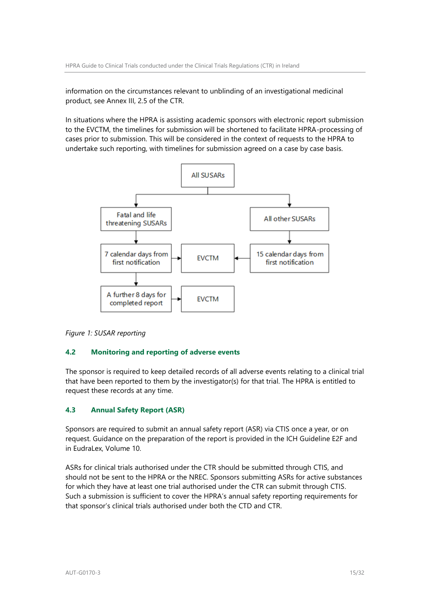information on the circumstances relevant to unblinding of an investigational medicinal product, see Annex III, 2.5 of the CTR.

In situations where the HPRA is assisting academic sponsors with electronic report submission to the EVCTM, the timelines for submission will be shortened to facilitate HPRA-processing of cases prior to submission. This will be considered in the context of requests to the HPRA to undertake such reporting, with timelines for submission agreed on a case by case basis.



*Figure 1: SUSAR reporting*

### **4.2 Monitoring and reporting of adverse events**

The sponsor is required to keep detailed records of all adverse events relating to a clinical trial that have been reported to them by the investigator(s) for that trial. The HPRA is entitled to request these records at any time.

### **4.3 Annual Safety Report (ASR)**

Sponsors are required to submit an annual safety report (ASR) via CTIS once a year, or on request. Guidance on the preparation of the report is provided in the ICH Guideline E2F and in EudraLex, Volume 10.

ASRs for clinical trials authorised under the CTR should be submitted through CTIS, and should not be sent to the HPRA or the NREC. Sponsors submitting ASRs for active substances for which they have at least one trial authorised under the CTR can submit through CTIS. Such a submission is sufficient to cover the HPRA's annual safety reporting requirements for that sponsor's clinical trials authorised under both the CTD and CTR.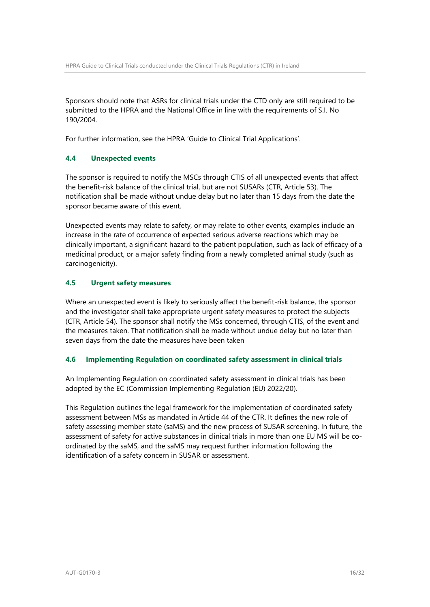Sponsors should note that ASRs for clinical trials under the CTD only are still required to be submitted to the HPRA and the National Office in line with the requirements of S.I. No 190/2004.

For further information, see the HPRA 'Guide to Clinical Trial Applications'.

# **4.4 Unexpected events**

The sponsor is required to notify the MSCs through CTIS of all unexpected events that affect the benefit-risk balance of the clinical trial, but are not SUSARs (CTR, Article 53). The notification shall be made without undue delay but no later than 15 days from the date the sponsor became aware of this event.

Unexpected events may relate to safety, or may relate to other events, examples include an increase in the rate of occurrence of expected serious adverse reactions which may be clinically important, a significant hazard to the patient population, such as lack of efficacy of a medicinal product, or a major safety finding from a newly completed animal study (such as carcinogenicity).

# **4.5 Urgent safety measures**

Where an unexpected event is likely to seriously affect the benefit-risk balance, the sponsor and the investigator shall take appropriate urgent safety measures to protect the subjects (CTR, Article 54). The sponsor shall notify the MSs concerned, through CTIS, of the event and the measures taken. That notification shall be made without undue delay but no later than seven days from the date the measures have been taken

### **4.6 Implementing Regulation on coordinated safety assessment in clinical trials**

An Implementing Regulation on coordinated safety assessment in clinical trials has been adopted by the EC (Commission Implementing Regulation (EU) 2022/20).

<span id="page-15-0"></span>This Regulation outlines the legal framework for the implementation of coordinated safety assessment between MSs as mandated in Article 44 of the CTR. It defines the new role of safety assessing member state (saMS) and the new process of SUSAR screening. In future, the assessment of safety for active substances in clinical trials in more than one EU MS will be coordinated by the saMS, and the saMS may request further information following the identification of a safety concern in SUSAR or assessment.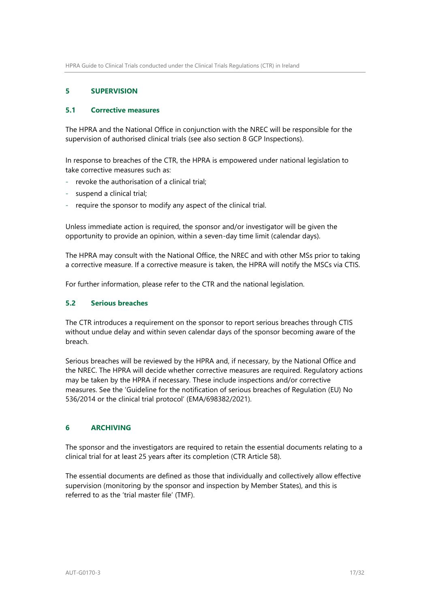# **5 SUPERVISION**

### **5.1 Corrective measures**

The HPRA and the National Office in conjunction with the NREC will be responsible for the supervision of authorised clinical trials (see also section 8 GCP Inspections).

In response to breaches of the CTR, the HPRA is empowered under national legislation to take corrective measures such as:

- revoke the authorisation of a clinical trial;
- suspend a clinical trial;
- require the sponsor to modify any aspect of the clinical trial.

Unless immediate action is required, the sponsor and/or investigator will be given the opportunity to provide an opinion, within a seven-day time limit (calendar days).

The HPRA may consult with the National Office, the NREC and with other MSs prior to taking a corrective measure. If a corrective measure is taken, the HPRA will notify the MSCs via CTIS.

For further information, please refer to the CTR and the national legislation.

### **5.2 Serious breaches**

The CTR introduces a requirement on the sponsor to report serious breaches through CTIS without undue delay and within seven calendar days of the sponsor becoming aware of the breach.

Serious breaches will be reviewed by the HPRA and, if necessary, by the National Office and the NREC. The HPRA will decide whether corrective measures are required. Regulatory actions may be taken by the HPRA if necessary. These include inspections and/or corrective measures. See the 'Guideline for the notification of serious breaches of Regulation (EU) No 536/2014 or the clinical trial protocol' (EMA/698382/2021).

# <span id="page-16-0"></span>**6 ARCHIVING**

The sponsor and the investigators are required to retain the essential documents relating to a clinical trial for at least 25 years after its completion (CTR Article 58).

The essential documents are defined as those that individually and collectively allow effective supervision (monitoring by the sponsor and inspection by Member States), and this is referred to as the 'trial master file' (TMF).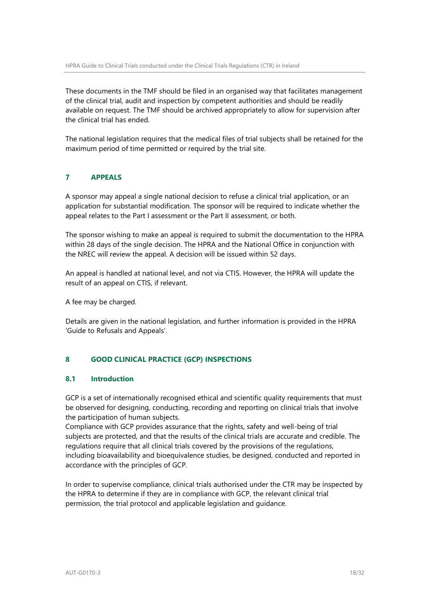These documents in the TMF should be filed in an organised way that facilitates management of the clinical trial, audit and inspection by competent authorities and should be readily available on request. The TMF should be archived appropriately to allow for supervision after the clinical trial has ended.

The national legislation requires that the medical files of trial subjects shall be retained for the maximum period of time permitted or required by the trial site.

# <span id="page-17-0"></span>**7 APPEALS**

A sponsor may appeal a single national decision to refuse a clinical trial application, or an application for substantial modification. The sponsor will be required to indicate whether the appeal relates to the Part I assessment or the Part II assessment, or both.

The sponsor wishing to make an appeal is required to submit the documentation to the HPRA within 28 days of the single decision. The HPRA and the National Office in conjunction with the NREC will review the appeal. A decision will be issued within 52 days.

An appeal is handled at national level, and not via CTIS. However, the HPRA will update the result of an appeal on CTIS, if relevant.

A fee may be charged.

Details are given in the national legislation, and further information is provided in the HPRA 'Guide to Refusals and Appeals'.

### <span id="page-17-1"></span>**8 GOOD CLINICAL PRACTICE (GCP) INSPECTIONS**

### **8.1 Introduction**

GCP is a set of internationally recognised ethical and scientific quality requirements that must be observed for designing, conducting, recording and reporting on clinical trials that involve the participation of human subjects.

Compliance with GCP provides assurance that the rights, safety and well-being of trial subjects are protected, and that the results of the clinical trials are accurate and credible. The regulations require that all clinical trials covered by the provisions of the regulations, including bioavailability and bioequivalence studies, be designed, conducted and reported in accordance with the principles of GCP.

In order to supervise compliance, clinical trials authorised under the CTR may be inspected by the HPRA to determine if they are in compliance with GCP, the relevant clinical trial permission, the trial protocol and applicable legislation and guidance.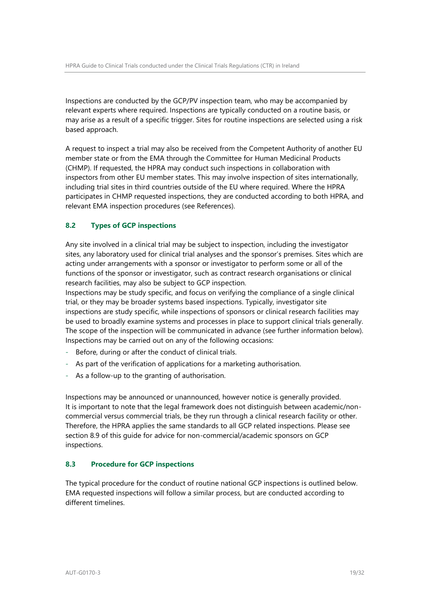Inspections are conducted by the GCP/PV inspection team, who may be accompanied by relevant experts where required. Inspections are typically conducted on a routine basis, or may arise as a result of a specific trigger. Sites for routine inspections are selected using a risk based approach.

A request to inspect a trial may also be received from the Competent Authority of another EU member state or from the EMA through the Committee for Human Medicinal Products (CHMP). If requested, the HPRA may conduct such inspections in collaboration with inspectors from other EU member states. This may involve inspection of sites internationally, including trial sites in third countries outside of the EU where required. Where the HPRA participates in CHMP requested inspections, they are conducted according to both HPRA, and relevant EMA inspection procedures (see References).

# **8.2 Types of GCP inspections**

Any site involved in a clinical trial may be subject to inspection, including the investigator sites, any laboratory used for clinical trial analyses and the sponsor's premises. Sites which are acting under arrangements with a sponsor or investigator to perform some or all of the functions of the sponsor or investigator, such as contract research organisations or clinical research facilities, may also be subject to GCP inspection.

Inspections may be study specific, and focus on verifying the compliance of a single clinical trial, or they may be broader systems based inspections. Typically, investigator site inspections are study specific, while inspections of sponsors or clinical research facilities may be used to broadly examine systems and processes in place to support clinical trials generally. The scope of the inspection will be communicated in advance (see further information below). Inspections may be carried out on any of the following occasions:

- Before, during or after the conduct of clinical trials.
- As part of the verification of applications for a marketing authorisation.
- As a follow-up to the granting of authorisation.

Inspections may be announced or unannounced, however notice is generally provided. It is important to note that the legal framework does not distinguish between academic/noncommercial versus commercial trials, be they run through a clinical research facility or other. Therefore, the HPRA applies the same standards to all GCP related inspections. Please see section 8.9 of this guide for advice for non-commercial/academic sponsors on GCP inspections.

### **8.3 Procedure for GCP inspections**

The typical procedure for the conduct of routine national GCP inspections is outlined below. EMA requested inspections will follow a similar process, but are conducted according to different timelines.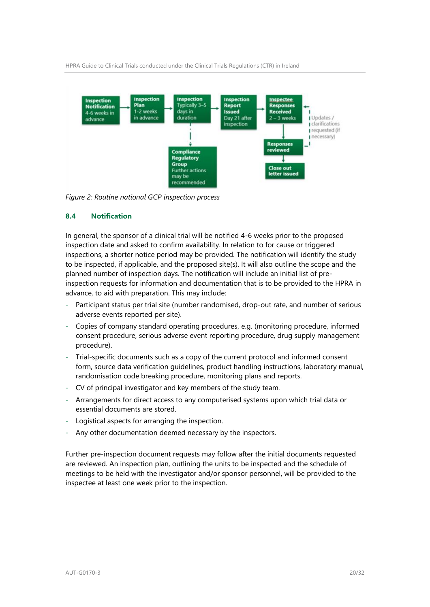HPRA Guide to Clinical Trials conducted under the Clinical Trials Regulations (CTR) in Ireland



*Figure 2: Routine national GCP inspection process*

# **8.4 Notification**

In general, the sponsor of a clinical trial will be notified 4-6 weeks prior to the proposed inspection date and asked to confirm availability. In relation to for cause or triggered inspections, a shorter notice period may be provided. The notification will identify the study to be inspected, if applicable, and the proposed site(s). It will also outline the scope and the planned number of inspection days. The notification will include an initial list of preinspection requests for information and documentation that is to be provided to the HPRA in advance, to aid with preparation. This may include:

- Participant status per trial site (number randomised, drop-out rate, and number of serious adverse events reported per site).
- Copies of company standard operating procedures, e.g. (monitoring procedure, informed consent procedure, serious adverse event reporting procedure, drug supply management procedure).
- Trial-specific documents such as a copy of the current protocol and informed consent form, source data verification guidelines, product handling instructions, laboratory manual, randomisation code breaking procedure, monitoring plans and reports.
- CV of principal investigator and key members of the study team.
- Arrangements for direct access to any computerised systems upon which trial data or essential documents are stored.
- Logistical aspects for arranging the inspection.
- Any other documentation deemed necessary by the inspectors.

Further pre-inspection document requests may follow after the initial documents requested are reviewed. An inspection plan, outlining the units to be inspected and the schedule of meetings to be held with the investigator and/or sponsor personnel, will be provided to the inspectee at least one week prior to the inspection.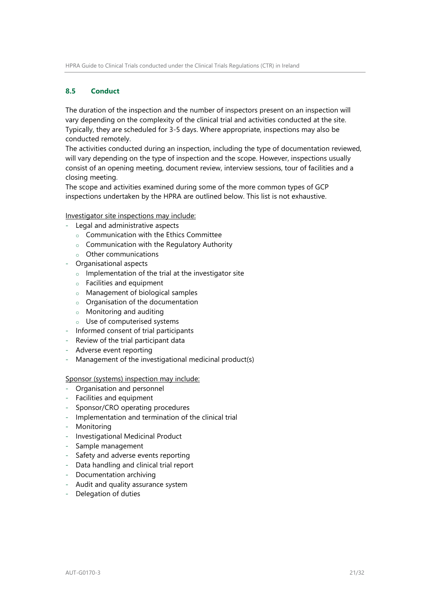### **8.5 Conduct**

The duration of the inspection and the number of inspectors present on an inspection will vary depending on the complexity of the clinical trial and activities conducted at the site. Typically, they are scheduled for 3-5 days. Where appropriate, inspections may also be conducted remotely.

The activities conducted during an inspection, including the type of documentation reviewed, will vary depending on the type of inspection and the scope. However, inspections usually consist of an opening meeting, document review, interview sessions, tour of facilities and a closing meeting.

The scope and activities examined during some of the more common types of GCP inspections undertaken by the HPRA are outlined below. This list is not exhaustive.

Investigator site inspections may include:

- Legal and administrative aspects
	- o Communication with the Ethics Committee
	- $\circ$  Communication with the Regulatory Authority
	- o Other communications
- Organisational aspects
	- $\circ$  Implementation of the trial at the investigator site
	- o Facilities and equipment
	- o Management of biological samples
	- o Organisation of the documentation
	- o Monitoring and auditing
	- o Use of computerised systems
- Informed consent of trial participants
- Review of the trial participant data
- Adverse event reporting
- Management of the investigational medicinal product(s)

### Sponsor (systems) inspection may include:

- Organisation and personnel
- Facilities and equipment
- Sponsor/CRO operating procedures
- Implementation and termination of the clinical trial
- Monitoring
- Investigational Medicinal Product
- Sample management
- Safety and adverse events reporting
- Data handling and clinical trial report
- Documentation archiving
- Audit and quality assurance system
- Delegation of duties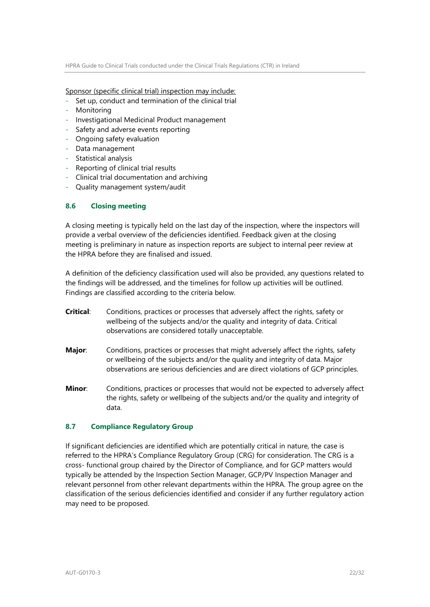Sponsor (specific clinical trial) inspection may include:

- Set up, conduct and termination of the clinical trial
- **Monitoring**
- Investigational Medicinal Product management
- Safety and adverse events reporting
- Ongoing safety evaluation
- Data management
- Statistical analysis
- Reporting of clinical trial results
- Clinical trial documentation and archiving
- Quality management system/audit

# **8.6 Closing meeting**

A closing meeting is typically held on the last day of the inspection, where the inspectors will provide a verbal overview of the deficiencies identified. Feedback given at the closing meeting is preliminary in nature as inspection reports are subject to internal peer review at the HPRA before they are finalised and issued.

A definition of the deficiency classification used will also be provided, any questions related to the findings will be addressed, and the timelines for follow up activities will be outlined. Findings are classified according to the criteria below.

- **Critical:** Conditions, practices or processes that adversely affect the rights, safety or wellbeing of the subjects and/or the quality and integrity of data. Critical observations are considered totally unacceptable.
- **Major**: Conditions, practices or processes that might adversely affect the rights, safety or wellbeing of the subjects and/or the quality and integrity of data. Major observations are serious deficiencies and are direct violations of GCP principles.
- **Minor**: Conditions, practices or processes that would not be expected to adversely affect the rights, safety or wellbeing of the subjects and/or the quality and integrity of data.

### **8.7 Compliance Regulatory Group**

If significant deficiencies are identified which are potentially critical in nature, the case is referred to the HPRA's Compliance Regulatory Group (CRG) for consideration. The CRG is a cross- functional group chaired by the Director of Compliance, and for GCP matters would typically be attended by the Inspection Section Manager, GCP/PV Inspection Manager and relevant personnel from other relevant departments within the HPRA. The group agree on the classification of the serious deficiencies identified and consider if any further regulatory action may need to be proposed.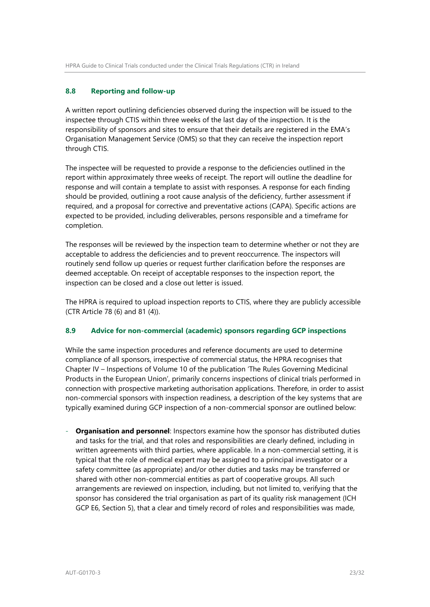# **8.8 Reporting and follow-up**

A written report outlining deficiencies observed during the inspection will be issued to the inspectee through CTIS within three weeks of the last day of the inspection. It is the responsibility of sponsors and sites to ensure that their details are registered in the EMA's Organisation Management Service (OMS) so that they can receive the inspection report through CTIS.

The inspectee will be requested to provide a response to the deficiencies outlined in the report within approximately three weeks of receipt. The report will outline the deadline for response and will contain a template to assist with responses. A response for each finding should be provided, outlining a root cause analysis of the deficiency, further assessment if required, and a proposal for corrective and preventative actions (CAPA). Specific actions are expected to be provided, including deliverables, persons responsible and a timeframe for completion.

The responses will be reviewed by the inspection team to determine whether or not they are acceptable to address the deficiencies and to prevent reoccurrence. The inspectors will routinely send follow up queries or request further clarification before the responses are deemed acceptable. On receipt of acceptable responses to the inspection report, the inspection can be closed and a close out letter is issued.

The HPRA is required to upload inspection reports to CTIS, where they are publicly accessible (CTR Article 78 (6) and 81 (4)).

### **8.9 Advice for non-commercial (academic) sponsors regarding GCP inspections**

While the same inspection procedures and reference documents are used to determine compliance of all sponsors, irrespective of commercial status, the HPRA recognises that Chapter IV – Inspections of Volume 10 of the publication 'The Rules Governing Medicinal Products in the European Union', primarily concerns inspections of clinical trials performed in connection with prospective marketing authorisation applications. Therefore, in order to assist non-commercial sponsors with inspection readiness, a description of the key systems that are typically examined during GCP inspection of a non-commercial sponsor are outlined below:

- **Organisation and personnel**: Inspectors examine how the sponsor has distributed duties and tasks for the trial, and that roles and responsibilities are clearly defined, including in written agreements with third parties, where applicable. In a non-commercial setting, it is typical that the role of medical expert may be assigned to a principal investigator or a safety committee (as appropriate) and/or other duties and tasks may be transferred or shared with other non-commercial entities as part of cooperative groups. All such arrangements are reviewed on inspection, including, but not limited to, verifying that the sponsor has considered the trial organisation as part of its quality risk management (ICH GCP E6, Section 5), that a clear and timely record of roles and responsibilities was made,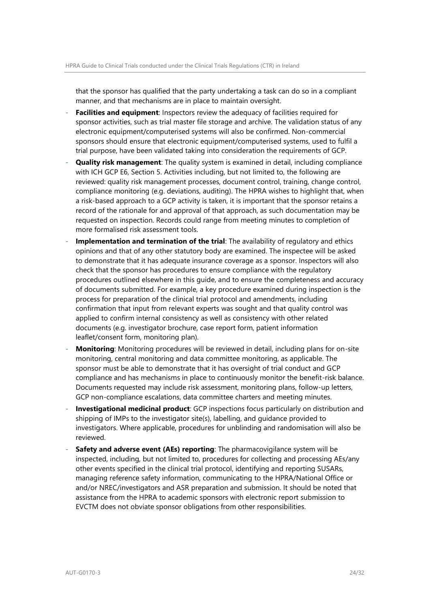that the sponsor has qualified that the party undertaking a task can do so in a compliant manner, and that mechanisms are in place to maintain oversight.

- **Facilities and equipment:** Inspectors review the adequacy of facilities required for sponsor activities, such as trial master file storage and archive. The validation status of any electronic equipment/computerised systems will also be confirmed. Non-commercial sponsors should ensure that electronic equipment/computerised systems, used to fulfil a trial purpose, have been validated taking into consideration the requirements of GCP.
- **Quality risk management**: The quality system is examined in detail, including compliance with ICH GCP E6, Section 5. Activities including, but not limited to, the following are reviewed: quality risk management processes, document control, training, change control, compliance monitoring (e.g. deviations, auditing). The HPRA wishes to highlight that, when a risk-based approach to a GCP activity is taken, it is important that the sponsor retains a record of the rationale for and approval of that approach, as such documentation may be requested on inspection. Records could range from meeting minutes to completion of more formalised risk assessment tools.
- **Implementation and termination of the trial:** The availability of regulatory and ethics opinions and that of any other statutory body are examined. The inspectee will be asked to demonstrate that it has adequate insurance coverage as a sponsor. Inspectors will also check that the sponsor has procedures to ensure compliance with the regulatory procedures outlined elsewhere in this guide, and to ensure the completeness and accuracy of documents submitted. For example, a key procedure examined during inspection is the process for preparation of the clinical trial protocol and amendments, including confirmation that input from relevant experts was sought and that quality control was applied to confirm internal consistency as well as consistency with other related documents (e.g. investigator brochure, case report form, patient information leaflet/consent form, monitoring plan).
- **Monitoring**: Monitoring procedures will be reviewed in detail, including plans for on-site monitoring, central monitoring and data committee monitoring, as applicable. The sponsor must be able to demonstrate that it has oversight of trial conduct and GCP compliance and has mechanisms in place to continuously monitor the benefit-risk balance. Documents requested may include risk assessment, monitoring plans, follow-up letters, GCP non-compliance escalations, data committee charters and meeting minutes.
- **Investigational medicinal product**: GCP inspections focus particularly on distribution and shipping of IMPs to the investigator site(s), labelling, and guidance provided to investigators. Where applicable, procedures for unblinding and randomisation will also be reviewed.
- **Safety and adverse event (AEs) reporting**: The pharmacovigilance system will be inspected, including, but not limited to, procedures for collecting and processing AEs/any other events specified in the clinical trial protocol, identifying and reporting SUSARs, managing reference safety information, communicating to the HPRA/National Office or and/or NREC/investigators and ASR preparation and submission. It should be noted that assistance from the HPRA to academic sponsors with electronic report submission to EVCTM does not obviate sponsor obligations from other responsibilities.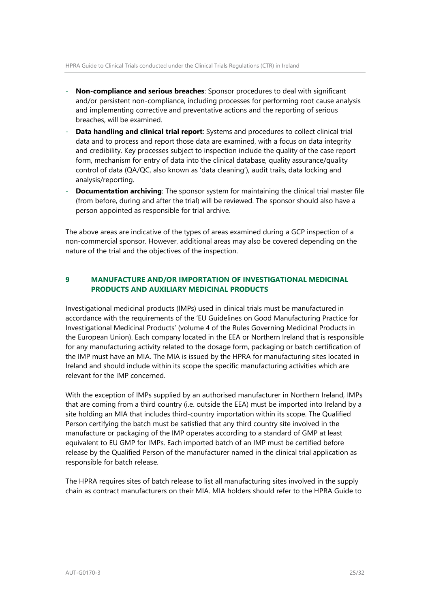- **Non-compliance and serious breaches**: Sponsor procedures to deal with significant and/or persistent non-compliance, including processes for performing root cause analysis and implementing corrective and preventative actions and the reporting of serious breaches, will be examined.
- **Data handling and clinical trial report**: Systems and procedures to collect clinical trial data and to process and report those data are examined, with a focus on data integrity and credibility. Key processes subject to inspection include the quality of the case report form, mechanism for entry of data into the clinical database, quality assurance/quality control of data (QA/QC, also known as 'data cleaning'), audit trails, data locking and analysis/reporting.
- **Documentation archiving**: The sponsor system for maintaining the clinical trial master file (from before, during and after the trial) will be reviewed. The sponsor should also have a person appointed as responsible for trial archive.

The above areas are indicative of the types of areas examined during a GCP inspection of a non-commercial sponsor. However, additional areas may also be covered depending on the nature of the trial and the objectives of the inspection.

# <span id="page-24-0"></span>**9 MANUFACTURE AND/OR IMPORTATION OF INVESTIGATIONAL MEDICINAL PRODUCTS AND AUXILIARY MEDICINAL PRODUCTS**

Investigational medicinal products (IMPs) used in clinical trials must be manufactured in accordance with the requirements of the 'EU Guidelines on Good Manufacturing Practice for Investigational Medicinal Products' (volume 4 of the Rules Governing Medicinal Products in the European Union). Each company located in the EEA or Northern Ireland that is responsible for any manufacturing activity related to the dosage form, packaging or batch certification of the IMP must have an MIA. The MIA is issued by the HPRA for manufacturing sites located in Ireland and should include within its scope the specific manufacturing activities which are relevant for the IMP concerned.

With the exception of IMPs supplied by an authorised manufacturer in Northern Ireland, IMPs that are coming from a third country (i.e. outside the EEA) must be imported into Ireland by a site holding an MIA that includes third-country importation within its scope. The Qualified Person certifying the batch must be satisfied that any third country site involved in the manufacture or packaging of the IMP operates according to a standard of GMP at least equivalent to EU GMP for IMPs. Each imported batch of an IMP must be certified before release by the Qualified Person of the manufacturer named in the clinical trial application as responsible for batch release.

The HPRA requires sites of batch release to list all manufacturing sites involved in the supply chain as contract manufacturers on their MIA. MIA holders should refer to the HPRA Guide to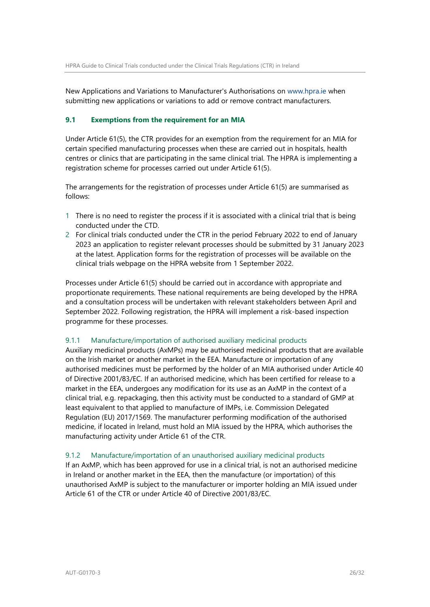New Applications and Variations to Manufacturer's Authorisations on [www.hpra.ie](file://///srv-prd-file01/qsac/QMS/CONTROLLED%20DOCUMENTS/Authorisation/Clinical%20studies/Clinical%20trials%20(h)/2021%20NEW%20CT%20REGULATIONS%202022/www.hpra.ie%20) when submitting new applications or variations to add or remove contract manufacturers.

# **9.1 Exemptions from the requirement for an MIA**

Under Article 61(5), the CTR provides for an exemption from the requirement for an MIA for certain specified manufacturing processes when these are carried out in hospitals, health centres or clinics that are participating in the same clinical trial. The HPRA is implementing a registration scheme for processes carried out under Article 61(5).

The arrangements for the registration of processes under Article 61(5) are summarised as follows:

- 1 There is no need to register the process if it is associated with a clinical trial that is being conducted under the CTD.
- 2 For clinical trials conducted under the CTR in the period February 2022 to end of January 2023 an application to register relevant processes should be submitted by 31 January 2023 at the latest. Application forms for the registration of processes will be available on the clinical trials webpage on the HPRA website from 1 September 2022.

Processes under Article 61(5) should be carried out in accordance with appropriate and proportionate requirements. These national requirements are being developed by the HPRA and a consultation process will be undertaken with relevant stakeholders between April and September 2022. Following registration, the HPRA will implement a risk-based inspection programme for these processes.

### 9.1.1 Manufacture/importation of authorised auxiliary medicinal products

Auxiliary medicinal products (AxMPs) may be authorised medicinal products that are available on the Irish market or another market in the EEA. Manufacture or importation of any authorised medicines must be performed by the holder of an MIA authorised under Article 40 of Directive 2001/83/EC. If an authorised medicine, which has been certified for release to a market in the EEA, undergoes any modification for its use as an AxMP in the context of a clinical trial, e.g. repackaging, then this activity must be conducted to a standard of GMP at least equivalent to that applied to manufacture of IMPs, i.e. Commission Delegated Regulation (EU) 2017/1569. The manufacturer performing modification of the authorised medicine, if located in Ireland, must hold an MIA issued by the HPRA, which authorises the manufacturing activity under Article 61 of the CTR.

### 9.1.2 Manufacture/importation of an unauthorised auxiliary medicinal products

If an AxMP, which has been approved for use in a clinical trial, is not an authorised medicine in Ireland or another market in the EEA, then the manufacture (or importation) of this unauthorised AxMP is subject to the manufacturer or importer holding an MIA issued under Article 61 of the CTR or under Article 40 of Directive 2001/83/EC.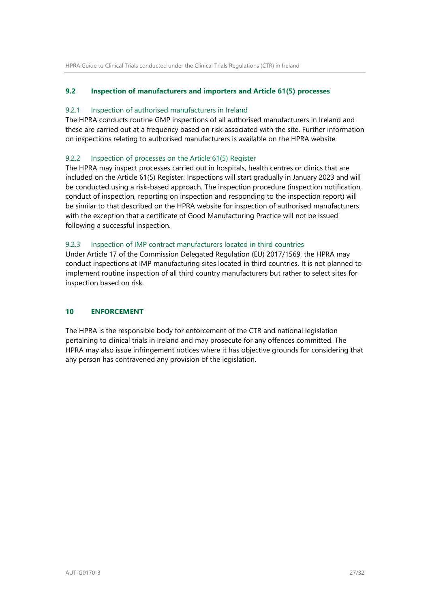# **9.2 Inspection of manufacturers and importers and Article 61(5) processes**

### 9.2.1 Inspection of authorised manufacturers in Ireland

The HPRA conducts routine GMP inspections of all authorised manufacturers in Ireland and these are carried out at a frequency based on risk associated with the site. Further information on inspections relating to authorised manufacturers is available on the HPRA website.

# 9.2.2 Inspection of processes on the Article 61(5) Register

The HPRA may inspect processes carried out in hospitals, health centres or clinics that are included on the Article 61(5) Register. Inspections will start gradually in January 2023 and will be conducted using a risk-based approach. The inspection procedure (inspection notification, conduct of inspection, reporting on inspection and responding to the inspection report) will be similar to that described on the HPRA website for inspection of authorised manufacturers with the exception that a certificate of Good Manufacturing Practice will not be issued following a successful inspection.

# 9.2.3 Inspection of IMP contract manufacturers located in third countries

Under Article 17 of the Commission Delegated Regulation (EU) 2017/1569, the HPRA may conduct inspections at IMP manufacturing sites located in third countries. It is not planned to implement routine inspection of all third country manufacturers but rather to select sites for inspection based on risk.

# <span id="page-26-0"></span>**10 ENFORCEMENT**

The HPRA is the responsible body for enforcement of the CTR and national legislation pertaining to clinical trials in Ireland and may prosecute for any offences committed. The HPRA may also issue infringement notices where it has objective grounds for considering that any person has contravened any provision of the legislation.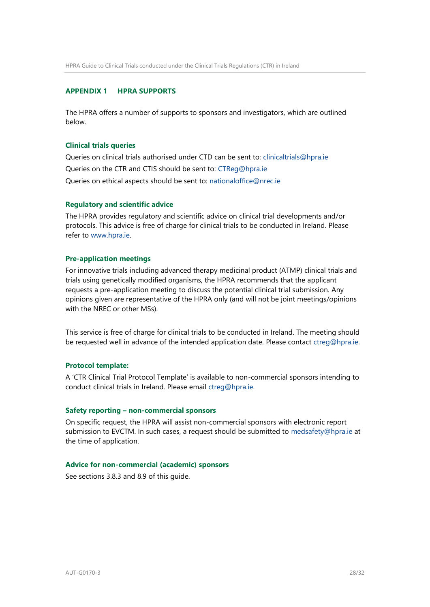### <span id="page-27-0"></span>**APPENDIX 1 HPRA SUPPORTS**

The HPRA offers a number of supports to sponsors and investigators, which are outlined below.

### **Clinical trials queries**

Queries on clinical trials authorised under CTD can be sent to: clinicaltrials@hpra.ie Queries on the CTR and CTIS should be sent to: CTReg@hpra.ie Queries on ethical aspects should be sent to: nationaloffice@nrec.ie

#### **Regulatory and scientific advice**

The HPRA provides regulatory and scientific advice on clinical trial developments and/or protocols. This advice is free of charge for clinical trials to be conducted in Ireland. Please refer to [www.hpra.ie.](http://www.hpra.ie/) 

#### **Pre-application meetings**

For innovative trials including advanced therapy medicinal product (ATMP) clinical trials and trials using genetically modified organisms, the HPRA recommends that the applicant requests a pre-application meeting to discuss the potential clinical trial submission. Any opinions given are representative of the HPRA only (and will not be joint meetings/opinions with the NREC or other MSs).

This service is free of charge for clinical trials to be conducted in Ireland. The meeting should be requested well in advance of the intended application date. Please contact ctreg@hpra.ie.

#### **Protocol template:**

A 'CTR Clinical Trial Protocol Template' is available to non-commercial sponsors intending to conduct clinical trials in Ireland. Please email ctreg@hpra.ie.

#### **Safety reporting – non-commercial sponsors**

On specific request, the HPRA will assist non-commercial sponsors with electronic report submission to EVCTM. In such cases, a request should be submitted to medsafety@hpra.ie at the time of application.

### **Advice for non-commercial (academic) sponsors**

See sections 3.8.3 and 8.9 of this guide.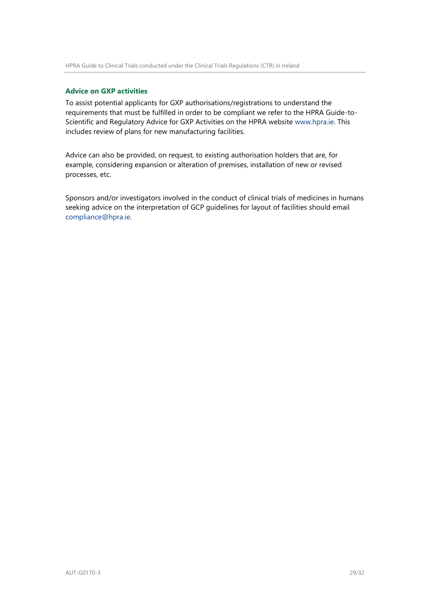### **Advice on GXP activities**

To assist potential applicants for GXP authorisations/registrations to understand the requirements that must be fulfilled in order to be compliant we refer to the HPRA Guide-to-Scientific and Regulatory Advice for GXP Activities on the HPRA website [www.hpra.ie.](http://www.hpra.ie/) This includes review of plans for new manufacturing facilities.

Advice can also be provided, on request, to existing authorisation holders that are, for example, considering expansion or alteration of premises, installation of new or revised processes, etc.

Sponsors and/or investigators involved in the conduct of clinical trials of medicines in humans seeking advice on the interpretation of GCP guidelines for layout of facilities should email compliance@hpra.ie.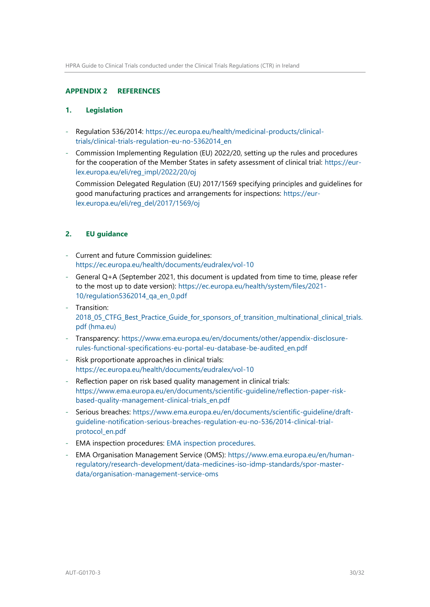### <span id="page-29-0"></span>**APPENDIX 2 REFERENCES**

### **1. Legislation**

- Regulation 536/2014: [https://ec.europa.eu/health/medicinal-products/clinical](https://ec.europa.eu/health/medicinal-products/clinical-trials/clinical-trials-regulation-eu-no-5362014_en)[trials/clinical-trials-regulation-eu-no-5362014\\_en](https://ec.europa.eu/health/medicinal-products/clinical-trials/clinical-trials-regulation-eu-no-5362014_en)
- Commission Implementing Regulation (EU) 2022/20, setting up the rules and procedures for the cooperation of the Member States in safety assessment of clinical trial: [https://eur](https://eur-lex.europa.eu/eli/reg_impl/2022/20/oj)[lex.europa.eu/eli/reg\\_impl/2022/20/oj](https://eur-lex.europa.eu/eli/reg_impl/2022/20/oj)

Commission Delegated Regulation (EU) 2017/1569 specifying principles and guidelines for good manufacturing practices and arrangements for inspections: [https://eur](https://eur-lex.europa.eu/eli/reg_del/2017/1569/oj)[lex.europa.eu/eli/reg\\_del/2017/1569/oj](https://eur-lex.europa.eu/eli/reg_del/2017/1569/oj)

# **2. EU guidance**

- Current and future Commission guidelines: <https://ec.europa.eu/health/documents/eudralex/vol-10>
- General Q+A (September 2021, this document is updated from time to time, please refer to the most up to date version): [https://ec.europa.eu/health/system/files/2021-](https://ec.europa.eu/health/system/files/2021-10/regulation5362014_qa_en_0.pdf) [10/regulation5362014\\_qa\\_en\\_0.pdf](https://ec.europa.eu/health/system/files/2021-10/regulation5362014_qa_en_0.pdf)
- Transition: [2018\\_05\\_CTFG\\_Best\\_Practice\\_Guide\\_for\\_sponsors\\_of\\_transition\\_multinational\\_clinical\\_trials.](https://www.hma.eu/fileadmin/dateien/Human_Medicines/01-About_HMA/Working_Groups/CTFG/2018_05_CTFG_Best_Practice_Guide_for_sponsors_of_transition_multinational_clinical_trials.pdf) [pdf \(hma.eu\)](https://www.hma.eu/fileadmin/dateien/Human_Medicines/01-About_HMA/Working_Groups/CTFG/2018_05_CTFG_Best_Practice_Guide_for_sponsors_of_transition_multinational_clinical_trials.pdf)
- Transparency: [https://www.ema.europa.eu/en/documents/other/appendix-disclosure](https://www.ema.europa.eu/en/documents/other/appendix-disclosure-rules-functional-specifications-eu-portal-eu-database-be-audited_en.pdf)[rules-functional-specifications-eu-portal-eu-database-be-audited\\_en.pdf](https://www.ema.europa.eu/en/documents/other/appendix-disclosure-rules-functional-specifications-eu-portal-eu-database-be-audited_en.pdf)
- Risk proportionate approaches in clinical trials: <https://ec.europa.eu/health/documents/eudralex/vol-10>
- Reflection paper on risk based quality management in clinical trials: [https://www.ema.europa.eu/en/documents/scientific-guideline/reflection-paper-risk](https://www.ema.europa.eu/en/documents/scientific-guideline/reflection-paper-risk-based-quality-management-clinical-trials_en.pdf)[based-quality-management-clinical-trials\\_en.pdf](https://www.ema.europa.eu/en/documents/scientific-guideline/reflection-paper-risk-based-quality-management-clinical-trials_en.pdf)
- Serious breaches: [https://www.ema.europa.eu/en/documents/scientific-guideline/draft](https://www.ema.europa.eu/en/documents/scientific-guideline/draft-guideline-notification-serious-breaches-regulation-eu-no-536/2014-clinical-trial-protocol_en.pdf)[guideline-notification-serious-breaches-regulation-eu-no-536/2014-clinical-trial](https://www.ema.europa.eu/en/documents/scientific-guideline/draft-guideline-notification-serious-breaches-regulation-eu-no-536/2014-clinical-trial-protocol_en.pdf)[protocol\\_en.pdf](https://www.ema.europa.eu/en/documents/scientific-guideline/draft-guideline-notification-serious-breaches-regulation-eu-no-536/2014-clinical-trial-protocol_en.pdf)
- EMA inspection procedures: [EMA inspection procedures.](https://www.ema.europa.eu/en/human-regulatory/research-development/compliance/good-clinical-practice/good-clinical-practice-gcp-inspection-procedures)
- EMA Organisation Management Service (OMS): [https://www.ema.europa.eu/en/human](https://www.ema.europa.eu/en/human-regulatory/research-development/data-medicines-iso-idmp-standards/spor-master-data/organisation-management-service-oms)[regulatory/research-development/data-medicines-iso-idmp-standards/spor-master](https://www.ema.europa.eu/en/human-regulatory/research-development/data-medicines-iso-idmp-standards/spor-master-data/organisation-management-service-oms)[data/organisation-management-service-oms](https://www.ema.europa.eu/en/human-regulatory/research-development/data-medicines-iso-idmp-standards/spor-master-data/organisation-management-service-oms)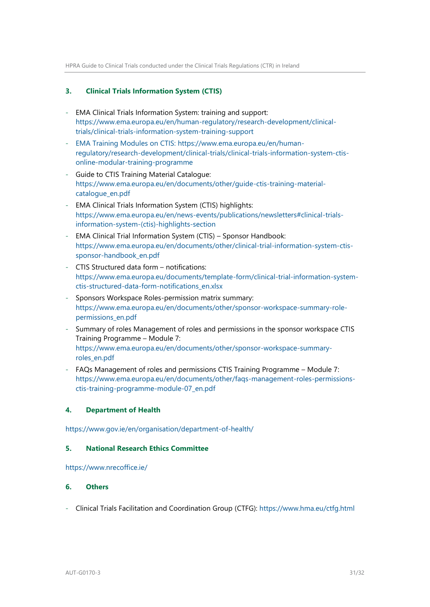# **3. Clinical Trials Information System (CTIS)**

- EMA Clinical Trials Information System: training and support: [https://www.ema.europa.eu/en/human-regulatory/research-development/clinical](https://www.ema.europa.eu/en/human-regulatory/research-development/clinical-trials/clinical-trials-information-system-training-support)[trials/clinical-trials-information-system-training-support](https://www.ema.europa.eu/en/human-regulatory/research-development/clinical-trials/clinical-trials-information-system-training-support)
- EMA Training Modules on CTIS: [https://www.ema.europa.eu/en/human](https://www.ema.europa.eu/en/human-regulatory/research-development/clinical-trials/clinical-trials-information-system-ctis-online-modular-training-programme)[regulatory/research-development/clinical-trials/clinical-trials-information-system-ctis](https://www.ema.europa.eu/en/human-regulatory/research-development/clinical-trials/clinical-trials-information-system-ctis-online-modular-training-programme)[online-modular-training-programme](https://www.ema.europa.eu/en/human-regulatory/research-development/clinical-trials/clinical-trials-information-system-ctis-online-modular-training-programme)
- Guide to CTIS Training Material Catalogue: [https://www.ema.europa.eu/en/documents/other/guide-ctis-training-material](https://www.ema.europa.eu/en/documents/other/guide-ctis-training-material-catalogue_en.pdf)[catalogue\\_en.pdf](https://www.ema.europa.eu/en/documents/other/guide-ctis-training-material-catalogue_en.pdf)
- EMA Clinical Trials Information System (CTIS) highlights: [https://www.ema.europa.eu/en/news-events/publications/newsletters#clinical-trials](https://www.ema.europa.eu/en/news-events/publications/newsletters#clinical-trials-information-system-(ctis)-highlights-section)[information-system-\(ctis\)-highlights-section](https://www.ema.europa.eu/en/news-events/publications/newsletters#clinical-trials-information-system-(ctis)-highlights-section)
- EMA Clinical Trial Information System (CTIS) Sponsor Handbook: [https://www.ema.europa.eu/en/documents/other/clinical-trial-information-system-ctis](https://www.ema.europa.eu/en/documents/other/clinical-trial-information-system-ctis-sponsor-handbook_en.pdf)[sponsor-handbook\\_en.pdf](https://www.ema.europa.eu/en/documents/other/clinical-trial-information-system-ctis-sponsor-handbook_en.pdf)
- CTIS Structured data form notifications: [https://www.ema.europa.eu/documents/template-form/clinical-trial-information-system](https://www.ema.europa.eu/documents/template-form/clinical-trial-information-system-ctis-structured-data-form-notifications_en.xlsx)[ctis-structured-data-form-notifications\\_en.xlsx](https://www.ema.europa.eu/documents/template-form/clinical-trial-information-system-ctis-structured-data-form-notifications_en.xlsx)
- Sponsors Workspace Roles-permission matrix summary: [https://www.ema.europa.eu/en/documents/other/sponsor-workspace-summary-role](https://www.ema.europa.eu/en/documents/other/sponsor-workspace-summary-role-permissions_en.pdf)[permissions\\_en.pdf](https://www.ema.europa.eu/en/documents/other/sponsor-workspace-summary-role-permissions_en.pdf)
- Summary of roles Management of roles and permissions in the sponsor workspace CTIS Training Programme – Module 7: [https://www.ema.europa.eu/en/documents/other/sponsor-workspace-summary](https://www.ema.europa.eu/en/documents/other/sponsor-workspace-summary-roles_en.pdf)[roles\\_en.pdf](https://www.ema.europa.eu/en/documents/other/sponsor-workspace-summary-roles_en.pdf)
- FAQs Management of roles and permissions CTIS Training Programme Module 7: [https://www.ema.europa.eu/en/documents/other/faqs-management-roles-permissions](https://www.ema.europa.eu/en/documents/other/faqs-management-roles-permissions-ctis-training-programme-module-07_en.pdf)[ctis-training-programme-module-07\\_en.pdf](https://www.ema.europa.eu/en/documents/other/faqs-management-roles-permissions-ctis-training-programme-module-07_en.pdf)

### **4. Department of Health**

<https://www.gov.ie/en/organisation/department-of-health/>

### **5. National Research Ethics Committee**

<https://www.nrecoffice.ie/>

### **6. Others**

- Clinical Trials Facilitation and Coordination Group (CTFG):<https://www.hma.eu/ctfg.html>